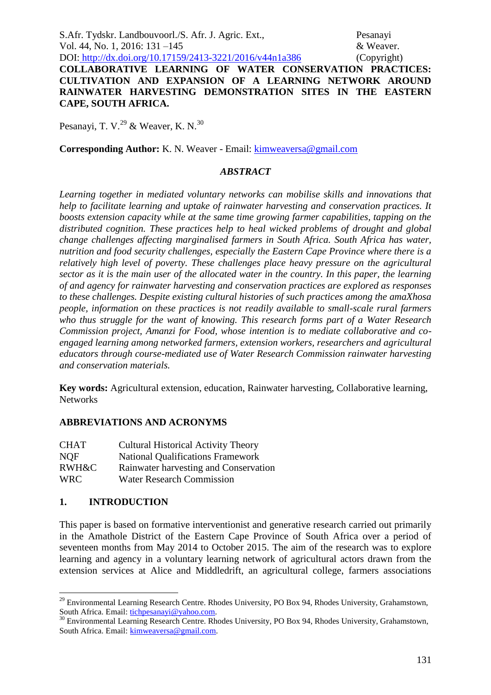S.Afr. Tydskr. Landbouvoorl./S. Afr. J. Agric. Ext., Pesanayi Vol. 44, No. 1, 2016: 131 –145 & Weaver.

DOI: http://dx.doi.org/10.17159/2413-3221/2016/v44n1a386 (Copyright) **COLLABORATIVE LEARNING OF WATER CONSERVATION PRACTICES: CULTIVATION AND EXPANSION OF A LEARNING NETWORK AROUND RAINWATER HARVESTING DEMONSTRATION SITES IN THE EASTERN CAPE, SOUTH AFRICA.**

Pesanayi, T. V. $^{29}$  & Weaver, K. N.<sup>30</sup>

**Corresponding Author:** K. N. Weaver - Email: [kimweaversa@gmail.com](mailto:kimweaversa@gmail.com)

#### *ABSTRACT*

*Learning together in mediated voluntary networks can mobilise skills and innovations that help to facilitate learning and uptake of rainwater harvesting and conservation practices. It boosts extension capacity while at the same time growing farmer capabilities, tapping on the distributed cognition. These practices help to heal wicked problems of drought and global change challenges affecting marginalised farmers in South Africa. South Africa has water, nutrition and food security challenges, especially the Eastern Cape Province where there is a relatively high level of poverty. These challenges place heavy pressure on the agricultural sector as it is the main user of the allocated water in the country. In this paper, the learning of and agency for rainwater harvesting and conservation practices are explored as responses to these challenges. Despite existing cultural histories of such practices among the amaXhosa people, information on these practices is not readily available to small-scale rural farmers who thus struggle for the want of knowing. This research forms part of a Water Research Commission project, Amanzi for Food, whose intention is to mediate collaborative and coengaged learning among networked farmers, extension workers, researchers and agricultural educators through course-mediated use of Water Research Commission rainwater harvesting and conservation materials.*

**Key words:** Agricultural extension, education, Rainwater harvesting, Collaborative learning, **Networks** 

## **ABBREVIATIONS AND ACRONYMS**

| <b>CHAT</b> | <b>Cultural Historical Activity Theory</b> |
|-------------|--------------------------------------------|
| <b>NOF</b>  | <b>National Qualifications Framework</b>   |
| RWH&C       | Rainwater harvesting and Conservation      |
| <b>WRC</b>  | <b>Water Research Commission</b>           |

## **1. INTRODUCTION**

1

This paper is based on formative interventionist and generative research carried out primarily in the Amathole District of the Eastern Cape Province of South Africa over a period of seventeen months from May 2014 to October 2015. The aim of the research was to explore learning and agency in a voluntary learning network of agricultural actors drawn from the extension services at Alice and Middledrift, an agricultural college, farmers associations

<sup>&</sup>lt;sup>29</sup> Environmental Learning Research Centre. Rhodes University, PO Box 94, Rhodes University, Grahamstown, South Africa. Email: [tichpesanayi@yahoo.com.](mailto:tichpesanayi@yahoo.com)

<sup>&</sup>lt;sup>30</sup> Environmental Learning Research Centre. Rhodes University, PO Box 94, Rhodes University, Grahamstown, South Africa. Email: [kimweaversa@gmail.com.](mailto:kimweaversa@gmail.com)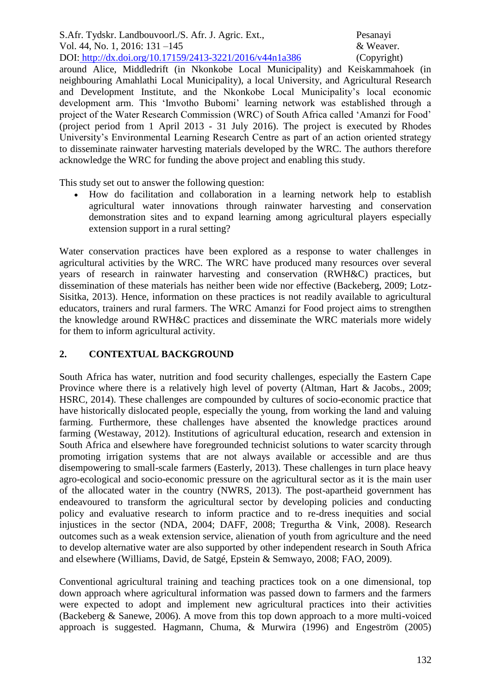around Alice, Middledrift (in Nkonkobe Local Municipality) and Keiskammahoek (in neighbouring Amahlathi Local Municipality), a local University, and Agricultural Research and Development Institute, and the Nkonkobe Local Municipality's local economic development arm. This 'Imvotho Bubomi' learning network was established through a project of the Water Research Commission (WRC) of South Africa called 'Amanzi for Food' (project period from 1 April 2013 - 31 July 2016). The project is executed by Rhodes University's Environmental Learning Research Centre as part of an action oriented strategy to disseminate rainwater harvesting materials developed by the WRC. The authors therefore acknowledge the WRC for funding the above project and enabling this study.

This study set out to answer the following question:

 How do facilitation and collaboration in a learning network help to establish agricultural water innovations through rainwater harvesting and conservation demonstration sites and to expand learning among agricultural players especially extension support in a rural setting?

Water conservation practices have been explored as a response to water challenges in agricultural activities by the WRC. The WRC have produced many resources over several years of research in rainwater harvesting and conservation (RWH&C) practices, but dissemination of these materials has neither been wide nor effective (Backeberg, 2009; Lotz-Sisitka, 2013). Hence, information on these practices is not readily available to agricultural educators, trainers and rural farmers. The WRC Amanzi for Food project aims to strengthen the knowledge around RWH&C practices and disseminate the WRC materials more widely for them to inform agricultural activity.

## **2. CONTEXTUAL BACKGROUND**

South Africa has water, nutrition and food security challenges, especially the Eastern Cape Province where there is a relatively high level of poverty (Altman, Hart & Jacobs., 2009; HSRC, 2014). These challenges are compounded by cultures of socio-economic practice that have historically dislocated people, especially the young, from working the land and valuing farming. Furthermore, these challenges have absented the knowledge practices around farming (Westaway, 2012). Institutions of agricultural education, research and extension in South Africa and elsewhere have foregrounded technicist solutions to water scarcity through promoting irrigation systems that are not always available or accessible and are thus disempowering to small-scale farmers (Easterly, 2013). These challenges in turn place heavy agro-ecological and socio-economic pressure on the agricultural sector as it is the main user of the allocated water in the country (NWRS, 2013). The post-apartheid government has endeavoured to transform the agricultural sector by developing policies and conducting policy and evaluative research to inform practice and to re-dress inequities and social injustices in the sector (NDA, 2004; DAFF, 2008; Tregurtha & Vink, 2008). Research outcomes such as a weak extension service, alienation of youth from agriculture and the need to develop alternative water are also supported by other independent research in South Africa and elsewhere (Williams, David, de Satgé, Epstein & Semwayo, 2008; FAO, 2009).

Conventional agricultural training and teaching practices took on a one dimensional, top down approach where agricultural information was passed down to farmers and the farmers were expected to adopt and implement new agricultural practices into their activities (Backeberg & Sanewe, 2006). A move from this top down approach to a more multi-voiced approach is suggested. Hagmann, Chuma, & Murwira (1996) and Engeström (2005)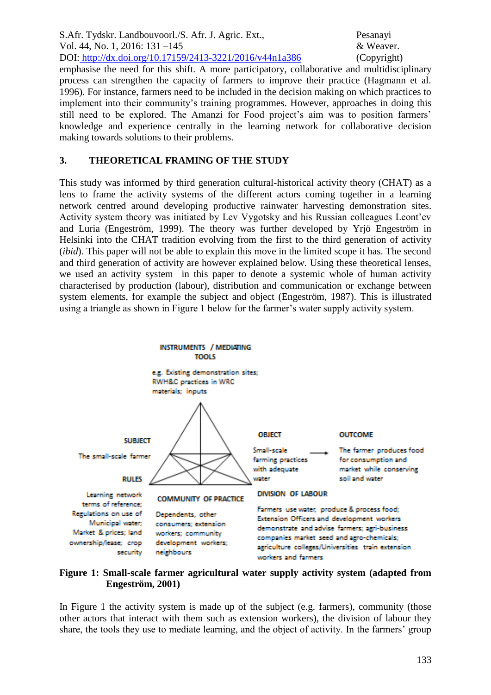emphasise the need for this shift. A more participatory, collaborative and multidisciplinary process can strengthen the capacity of farmers to improve their practice (Hagmann et al. 1996). For instance, farmers need to be included in the decision making on which practices to implement into their community's training programmes. However, approaches in doing this still need to be explored. The Amanzi for Food project's aim was to position farmers' knowledge and experience centrally in the learning network for collaborative decision making towards solutions to their problems.

# **3. THEORETICAL FRAMING OF THE STUDY**

This study was informed by third generation cultural-historical activity theory (CHAT) as a lens to frame the activity systems of the different actors coming together in a learning network centred around developing productive rainwater harvesting demonstration sites. Activity system theory was initiated by Lev Vygotsky and his Russian colleagues Leont'ev and Luria (Engeström, 1999). The theory was further developed by Yrjö Engeström in Helsinki into the CHAT tradition evolving from the first to the third generation of activity (*ibid*). This paper will not be able to explain this move in the limited scope it has. The second and third generation of activity are however explained below. Using these theoretical lenses, we used an activity system in this paper to denote a systemic whole of human activity characterised by production (labour), distribution and communication or exchange between system elements, for example the subject and object (Engeström, 1987). This is illustrated using a triangle as shown in Figure 1 below for the farmer's water supply activity system.



#### **Figure 1: Small-scale farmer agricultural water supply activity system (adapted from Engeström, 2001)**

In Figure 1 the activity system is made up of the subject (e.g. farmers), community (those other actors that interact with them such as extension workers), the division of labour they share, the tools they use to mediate learning, and the object of activity. In the farmers' group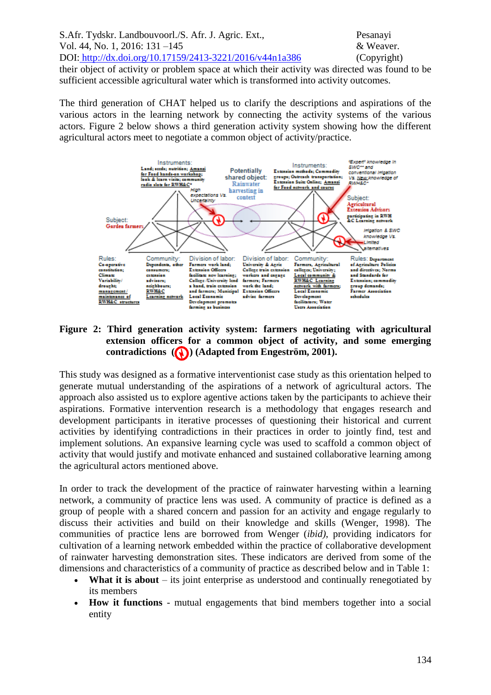S.Afr. Tydskr. Landbouvoorl./S. Afr. J. Agric. Ext., Pesanayi Vol. 44, No. 1, 2016: 131 –145 & Weaver. DOI: http://dx.doi.org/10.17159/2413-3221/2016/v44n1a386 (Copyright) their object of activity or problem space at which their activity was directed was found to be sufficient accessible agricultural water which is transformed into activity outcomes.

The third generation of CHAT helped us to clarify the descriptions and aspirations of the various actors in the learning network by connecting the activity systems of the various actors. Figure 2 below shows a third generation activity system showing how the different agricultural actors meet to negotiate a common object of activity/practice.



# **Figure 2: Third generation activity system: farmers negotiating with agricultural extension officers for a common object of activity, and some emerging**  contradictions (**A**) (Adapted from Engeström, 2001).

This study was designed as a formative interventionist case study as this orientation helped to generate mutual understanding of the aspirations of a network of agricultural actors. The approach also assisted us to explore agentive actions taken by the participants to achieve their aspirations. Formative intervention research is a methodology that engages research and development participants in iterative processes of questioning their historical and current activities by identifying contradictions in their practices in order to jointly find, test and implement solutions. An expansive learning cycle was used to scaffold a common object of activity that would justify and motivate enhanced and sustained collaborative learning among the agricultural actors mentioned above.

In order to track the development of the practice of rainwater harvesting within a learning network, a community of practice lens was used. A community of practice is defined as a group of people with a shared concern and passion for an activity and engage regularly to discuss their activities and build on their knowledge and skills (Wenger, 1998). The communities of practice lens are borrowed from Wenger (*ibid)*, providing indicators for cultivation of a learning network embedded within the practice of collaborative development of rainwater harvesting demonstration sites. These indicators are derived from some of the dimensions and characteristics of a community of practice as described below and in Table 1:

- **What it is about** its joint enterprise as understood and continually renegotiated by its members
- **How it functions** mutual engagements that bind members together into a social entity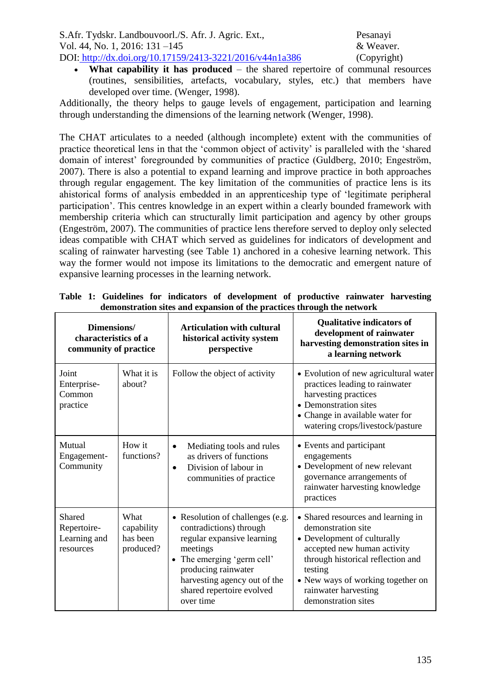**What capability it has produced** – the shared repertoire of communal resources (routines, sensibilities, artefacts, vocabulary, styles, etc.) that members have developed over time. (Wenger, 1998).

Additionally, the theory helps to gauge levels of engagement, participation and learning through understanding the dimensions of the learning network (Wenger, 1998).

The CHAT articulates to a needed (although incomplete) extent with the communities of practice theoretical lens in that the 'common object of activity' is paralleled with the 'shared domain of interest' foregrounded by communities of practice (Guldberg, 2010; Engeström, 2007). There is also a potential to expand learning and improve practice in both approaches through regular engagement. The key limitation of the communities of practice lens is its ahistorical forms of analysis embedded in an apprenticeship type of 'legitimate peripheral participation'. This centres knowledge in an expert within a clearly bounded framework with membership criteria which can structurally limit participation and agency by other groups (Engeström, 2007). The communities of practice lens therefore served to deploy only selected ideas compatible with CHAT which served as guidelines for indicators of development and scaling of rainwater harvesting (see Table 1) anchored in a cohesive learning network. This way the former would not impose its limitations to the democratic and emergent nature of expansive learning processes in the learning network.

| Dimensions/<br>characteristics of a<br>community of practice |                                             | <b>Articulation with cultural</b><br>historical activity system<br>perspective                                                                                                                                                                  | <b>Qualitative indicators of</b><br>development of rainwater<br>harvesting demonstration sites in<br>a learning network                                                                                                                                    |
|--------------------------------------------------------------|---------------------------------------------|-------------------------------------------------------------------------------------------------------------------------------------------------------------------------------------------------------------------------------------------------|------------------------------------------------------------------------------------------------------------------------------------------------------------------------------------------------------------------------------------------------------------|
| Joint<br>Enterprise-<br>Common<br>practice                   | What it is<br>about?                        | Follow the object of activity                                                                                                                                                                                                                   | • Evolution of new agricultural water<br>practices leading to rainwater<br>harvesting practices<br>• Demonstration sites<br>• Change in available water for<br>watering crops/livestock/pasture                                                            |
| Mutual<br>Engagement-<br>Community                           | How it<br>functions?                        | Mediating tools and rules<br>$\bullet$<br>as drivers of functions<br>Division of labour in<br>$\bullet$<br>communities of practice                                                                                                              | • Events and participant<br>engagements<br>• Development of new relevant<br>governance arrangements of<br>rainwater harvesting knowledge<br>practices                                                                                                      |
| Shared<br>Repertoire-<br>Learning and<br>resources           | What<br>capability<br>has been<br>produced? | • Resolution of challenges (e.g.<br>contradictions) through<br>regular expansive learning<br>meetings<br>The emerging 'germ cell'<br>$\bullet$<br>producing rainwater<br>harvesting agency out of the<br>shared repertoire evolved<br>over time | • Shared resources and learning in<br>demonstration site<br>• Development of culturally<br>accepted new human activity<br>through historical reflection and<br>testing<br>• New ways of working together on<br>rainwater harvesting<br>demonstration sites |

**Table 1: Guidelines for indicators of development of productive rainwater harvesting demonstration sites and expansion of the practices through the network**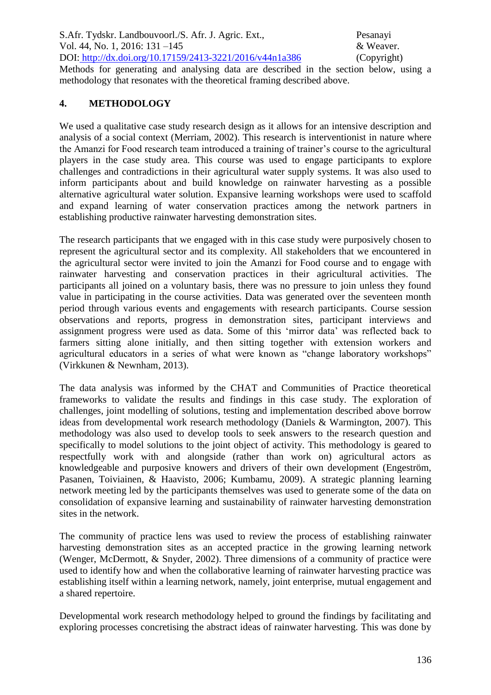S.Afr. Tydskr. Landbouvoorl./S. Afr. J. Agric. Ext., Pesanayi Vol. 44, No. 1, 2016: 131 –145 & Weaver. DOI: http://dx.doi.org/10.17159/2413-3221/2016/v44n1a386 (Copyright) Methods for generating and analysing data are described in the section below, using a methodology that resonates with the theoretical framing described above.

# **4. METHODOLOGY**

We used a qualitative case study research design as it allows for an intensive description and analysis of a social context (Merriam, 2002). This research is interventionist in nature where the Amanzi for Food research team introduced a training of trainer's course to the agricultural players in the case study area. This course was used to engage participants to explore challenges and contradictions in their agricultural water supply systems. It was also used to inform participants about and build knowledge on rainwater harvesting as a possible alternative agricultural water solution. Expansive learning workshops were used to scaffold and expand learning of water conservation practices among the network partners in establishing productive rainwater harvesting demonstration sites.

The research participants that we engaged with in this case study were purposively chosen to represent the agricultural sector and its complexity. All stakeholders that we encountered in the agricultural sector were invited to join the Amanzi for Food course and to engage with rainwater harvesting and conservation practices in their agricultural activities. The participants all joined on a voluntary basis, there was no pressure to join unless they found value in participating in the course activities. Data was generated over the seventeen month period through various events and engagements with research participants. Course session observations and reports, progress in demonstration sites, participant interviews and assignment progress were used as data. Some of this 'mirror data' was reflected back to farmers sitting alone initially, and then sitting together with extension workers and agricultural educators in a series of what were known as "change laboratory workshops" (Virkkunen & Newnham, 2013).

The data analysis was informed by the CHAT and Communities of Practice theoretical frameworks to validate the results and findings in this case study. The exploration of challenges, joint modelling of solutions, testing and implementation described above borrow ideas from developmental work research methodology (Daniels & Warmington, 2007). This methodology was also used to develop tools to seek answers to the research question and specifically to model solutions to the joint object of activity. This methodology is geared to respectfully work with and alongside (rather than work on) agricultural actors as knowledgeable and purposive knowers and drivers of their own development (Engeström, Pasanen, Toiviainen, & Haavisto, 2006; Kumbamu, 2009). A strategic planning learning network meeting led by the participants themselves was used to generate some of the data on consolidation of expansive learning and sustainability of rainwater harvesting demonstration sites in the network.

The community of practice lens was used to review the process of establishing rainwater harvesting demonstration sites as an accepted practice in the growing learning network (Wenger, McDermott, & Snyder, 2002). Three dimensions of a community of practice were used to identify how and when the collaborative learning of rainwater harvesting practice was establishing itself within a learning network, namely, joint enterprise, mutual engagement and a shared repertoire.

Developmental work research methodology helped to ground the findings by facilitating and exploring processes concretising the abstract ideas of rainwater harvesting. This was done by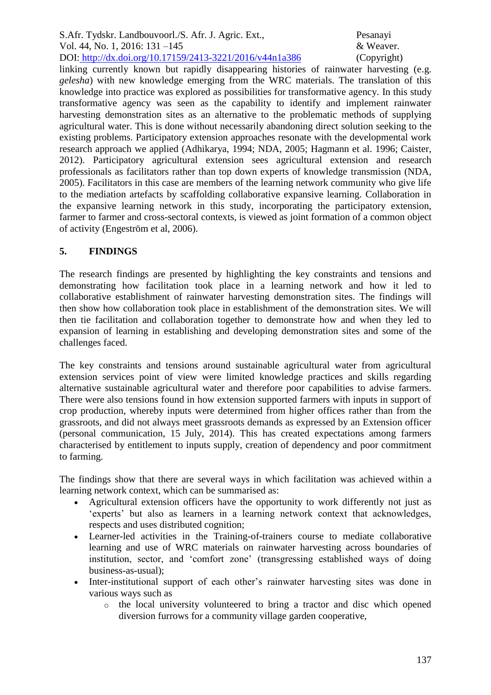linking currently known but rapidly disappearing histories of rainwater harvesting (e.g. *gelesha*) with new knowledge emerging from the WRC materials. The translation of this knowledge into practice was explored as possibilities for transformative agency. In this study transformative agency was seen as the capability to identify and implement rainwater harvesting demonstration sites as an alternative to the problematic methods of supplying agricultural water. This is done without necessarily abandoning direct solution seeking to the existing problems. Participatory extension approaches resonate with the developmental work research approach we applied (Adhikarya, 1994; NDA, 2005; Hagmann et al. 1996; Caister, 2012). Participatory agricultural extension sees agricultural extension and research professionals as facilitators rather than top down experts of knowledge transmission (NDA, 2005). Facilitators in this case are members of the learning network community who give life to the mediation artefacts by scaffolding collaborative expansive learning. Collaboration in the expansive learning network in this study, incorporating the participatory extension, farmer to farmer and cross-sectoral contexts, is viewed as joint formation of a common object of activity (Engeström et al, 2006).

# **5. FINDINGS**

The research findings are presented by highlighting the key constraints and tensions and demonstrating how facilitation took place in a learning network and how it led to collaborative establishment of rainwater harvesting demonstration sites. The findings will then show how collaboration took place in establishment of the demonstration sites. We will then tie facilitation and collaboration together to demonstrate how and when they led to expansion of learning in establishing and developing demonstration sites and some of the challenges faced.

The key constraints and tensions around sustainable agricultural water from agricultural extension services point of view were limited knowledge practices and skills regarding alternative sustainable agricultural water and therefore poor capabilities to advise farmers. There were also tensions found in how extension supported farmers with inputs in support of crop production, whereby inputs were determined from higher offices rather than from the grassroots, and did not always meet grassroots demands as expressed by an Extension officer (personal communication, 15 July, 2014). This has created expectations among farmers characterised by entitlement to inputs supply, creation of dependency and poor commitment to farming.

The findings show that there are several ways in which facilitation was achieved within a learning network context, which can be summarised as:

- Agricultural extension officers have the opportunity to work differently not just as 'experts' but also as learners in a learning network context that acknowledges, respects and uses distributed cognition;
- Learner-led activities in the Training-of-trainers course to mediate collaborative learning and use of WRC materials on rainwater harvesting across boundaries of institution, sector, and 'comfort zone' (transgressing established ways of doing business-as-usual);
- Inter-institutional support of each other's rainwater harvesting sites was done in various ways such as
	- o the local university volunteered to bring a tractor and disc which opened diversion furrows for a community village garden cooperative,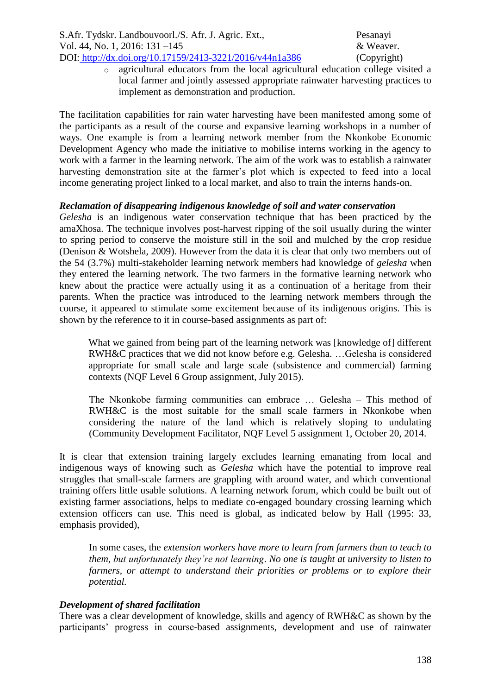o agricultural educators from the local agricultural education college visited a local farmer and jointly assessed appropriate rainwater harvesting practices to implement as demonstration and production.

The facilitation capabilities for rain water harvesting have been manifested among some of the participants as a result of the course and expansive learning workshops in a number of ways. One example is from a learning network member from the Nkonkobe Economic Development Agency who made the initiative to mobilise interns working in the agency to work with a farmer in the learning network. The aim of the work was to establish a rainwater harvesting demonstration site at the farmer's plot which is expected to feed into a local income generating project linked to a local market, and also to train the interns hands-on.

## *Reclamation of disappearing indigenous knowledge of soil and water conservation*

*Gelesha* is an indigenous water conservation technique that has been practiced by the amaXhosa. The technique involves post-harvest ripping of the soil usually during the winter to spring period to conserve the moisture still in the soil and mulched by the crop residue (Denison & Wotshela, 2009). However from the data it is clear that only two members out of the 54 (3.7%) multi-stakeholder learning network members had knowledge of *gelesha* when they entered the learning network. The two farmers in the formative learning network who knew about the practice were actually using it as a continuation of a heritage from their parents. When the practice was introduced to the learning network members through the course, it appeared to stimulate some excitement because of its indigenous origins. This is shown by the reference to it in course-based assignments as part of:

What we gained from being part of the learning network was [knowledge of] different RWH&C practices that we did not know before e.g. Gelesha. …Gelesha is considered appropriate for small scale and large scale (subsistence and commercial) farming contexts (NQF Level 6 Group assignment, July 2015).

The Nkonkobe farming communities can embrace … Gelesha – This method of RWH&C is the most suitable for the small scale farmers in Nkonkobe when considering the nature of the land which is relatively sloping to undulating (Community Development Facilitator, NQF Level 5 assignment 1, October 20, 2014.

It is clear that extension training largely excludes learning emanating from local and indigenous ways of knowing such as *Gelesha* which have the potential to improve real struggles that small-scale farmers are grappling with around water, and which conventional training offers little usable solutions. A learning network forum, which could be built out of existing farmer associations, helps to mediate co-engaged boundary crossing learning which extension officers can use. This need is global, as indicated below by Hall (1995: 33, emphasis provided),

In some cases, the *extension workers have more to learn from farmers than to teach to them, but unfortunately they're not learning*. *No one is taught at university to listen to farmers, or attempt to understand their priorities or problems or to explore their potential.*

## *Development of shared facilitation*

There was a clear development of knowledge, skills and agency of RWH&C as shown by the participants' progress in course-based assignments, development and use of rainwater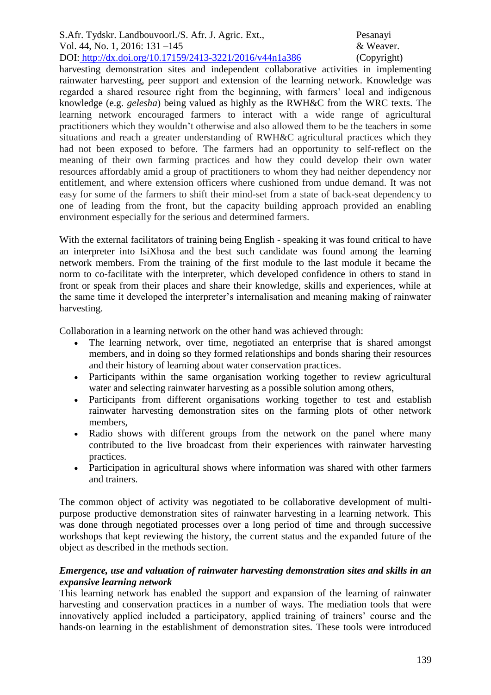harvesting demonstration sites and independent collaborative activities in implementing rainwater harvesting, peer support and extension of the learning network. Knowledge was regarded a shared resource right from the beginning, with farmers' local and indigenous knowledge (e.g. *gelesha*) being valued as highly as the RWH&C from the WRC texts. The learning network encouraged farmers to interact with a wide range of agricultural practitioners which they wouldn't otherwise and also allowed them to be the teachers in some situations and reach a greater understanding of RWH&C agricultural practices which they had not been exposed to before. The farmers had an opportunity to self-reflect on the meaning of their own farming practices and how they could develop their own water resources affordably amid a group of practitioners to whom they had neither dependency nor entitlement, and where extension officers where cushioned from undue demand. It was not easy for some of the farmers to shift their mind-set from a state of back-seat dependency to one of leading from the front, but the capacity building approach provided an enabling environment especially for the serious and determined farmers.

With the external facilitators of training being English - speaking it was found critical to have an interpreter into IsiXhosa and the best such candidate was found among the learning network members. From the training of the first module to the last module it became the norm to co-facilitate with the interpreter, which developed confidence in others to stand in front or speak from their places and share their knowledge, skills and experiences, while at the same time it developed the interpreter's internalisation and meaning making of rainwater harvesting.

Collaboration in a learning network on the other hand was achieved through:

- The learning network, over time, negotiated an enterprise that is shared amongst members, and in doing so they formed relationships and bonds sharing their resources and their history of learning about water conservation practices.
- Participants within the same organisation working together to review agricultural water and selecting rainwater harvesting as a possible solution among others,
- Participants from different organisations working together to test and establish rainwater harvesting demonstration sites on the farming plots of other network members,
- Radio shows with different groups from the network on the panel where many contributed to the live broadcast from their experiences with rainwater harvesting practices.
- Participation in agricultural shows where information was shared with other farmers and trainers.

The common object of activity was negotiated to be collaborative development of multipurpose productive demonstration sites of rainwater harvesting in a learning network. This was done through negotiated processes over a long period of time and through successive workshops that kept reviewing the history, the current status and the expanded future of the object as described in the methods section.

## *Emergence, use and valuation of rainwater harvesting demonstration sites and skills in an expansive learning network*

This learning network has enabled the support and expansion of the learning of rainwater harvesting and conservation practices in a number of ways. The mediation tools that were innovatively applied included a participatory, applied training of trainers' course and the hands-on learning in the establishment of demonstration sites. These tools were introduced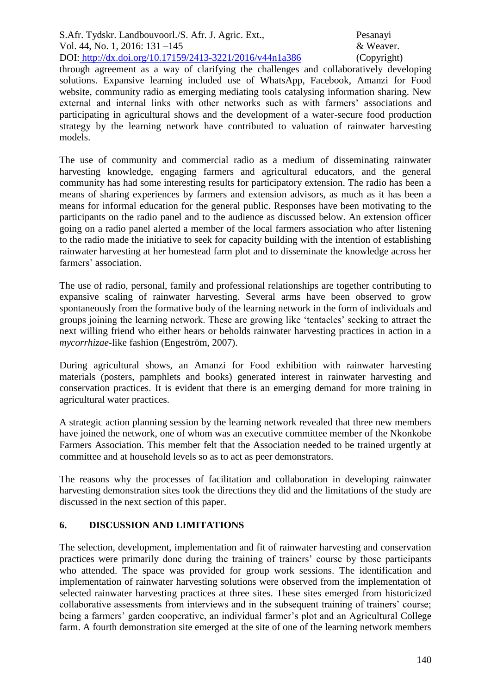through agreement as a way of clarifying the challenges and collaboratively developing solutions. Expansive learning included use of WhatsApp, Facebook, Amanzi for Food website, community radio as emerging mediating tools catalysing information sharing. New external and internal links with other networks such as with farmers' associations and participating in agricultural shows and the development of a water-secure food production strategy by the learning network have contributed to valuation of rainwater harvesting models.

The use of community and commercial radio as a medium of disseminating rainwater harvesting knowledge, engaging farmers and agricultural educators, and the general community has had some interesting results for participatory extension. The radio has been a means of sharing experiences by farmers and extension advisors, as much as it has been a means for informal education for the general public. Responses have been motivating to the participants on the radio panel and to the audience as discussed below. An extension officer going on a radio panel alerted a member of the local farmers association who after listening to the radio made the initiative to seek for capacity building with the intention of establishing rainwater harvesting at her homestead farm plot and to disseminate the knowledge across her farmers' association.

The use of radio, personal, family and professional relationships are together contributing to expansive scaling of rainwater harvesting. Several arms have been observed to grow spontaneously from the formative body of the learning network in the form of individuals and groups joining the learning network. These are growing like 'tentacles' seeking to attract the next willing friend who either hears or beholds rainwater harvesting practices in action in a *mycorrhizae*-like fashion (Engeström, 2007).

During agricultural shows, an Amanzi for Food exhibition with rainwater harvesting materials (posters, pamphlets and books) generated interest in rainwater harvesting and conservation practices. It is evident that there is an emerging demand for more training in agricultural water practices.

A strategic action planning session by the learning network revealed that three new members have joined the network, one of whom was an executive committee member of the Nkonkobe Farmers Association. This member felt that the Association needed to be trained urgently at committee and at household levels so as to act as peer demonstrators.

The reasons why the processes of facilitation and collaboration in developing rainwater harvesting demonstration sites took the directions they did and the limitations of the study are discussed in the next section of this paper.

## **6. DISCUSSION AND LIMITATIONS**

The selection, development, implementation and fit of rainwater harvesting and conservation practices were primarily done during the training of trainers' course by those participants who attended. The space was provided for group work sessions. The identification and implementation of rainwater harvesting solutions were observed from the implementation of selected rainwater harvesting practices at three sites. These sites emerged from historicized collaborative assessments from interviews and in the subsequent training of trainers' course; being a farmers' garden cooperative, an individual farmer's plot and an Agricultural College farm. A fourth demonstration site emerged at the site of one of the learning network members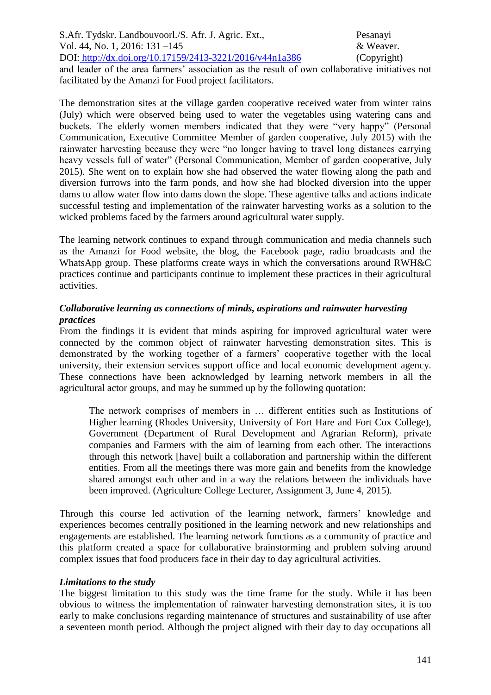S.Afr. Tydskr. Landbouvoorl./S. Afr. J. Agric. Ext., Pesanayi Vol. 44, No. 1, 2016: 131 –145 & Weaver. DOI: http://dx.doi.org/10.17159/2413-3221/2016/v44n1a386 (Copyright) and leader of the area farmers' association as the result of own collaborative initiatives not facilitated by the Amanzi for Food project facilitators.

The demonstration sites at the village garden cooperative received water from winter rains (July) which were observed being used to water the vegetables using watering cans and buckets. The elderly women members indicated that they were "very happy" (Personal Communication, Executive Committee Member of garden cooperative, July 2015) with the rainwater harvesting because they were "no longer having to travel long distances carrying heavy vessels full of water" (Personal Communication, Member of garden cooperative, July 2015). She went on to explain how she had observed the water flowing along the path and diversion furrows into the farm ponds, and how she had blocked diversion into the upper dams to allow water flow into dams down the slope. These agentive talks and actions indicate successful testing and implementation of the rainwater harvesting works as a solution to the wicked problems faced by the farmers around agricultural water supply.

The learning network continues to expand through communication and media channels such as the Amanzi for Food website, the blog, the Facebook page, radio broadcasts and the WhatsApp group. These platforms create ways in which the conversations around RWH&C practices continue and participants continue to implement these practices in their agricultural activities.

## *Collaborative learning as connections of minds, aspirations and rainwater harvesting practices*

From the findings it is evident that minds aspiring for improved agricultural water were connected by the common object of rainwater harvesting demonstration sites. This is demonstrated by the working together of a farmers' cooperative together with the local university, their extension services support office and local economic development agency. These connections have been acknowledged by learning network members in all the agricultural actor groups, and may be summed up by the following quotation:

The network comprises of members in … different entities such as Institutions of Higher learning (Rhodes University, University of Fort Hare and Fort Cox College), Government (Department of Rural Development and Agrarian Reform), private companies and Farmers with the aim of learning from each other. The interactions through this network [have] built a collaboration and partnership within the different entities. From all the meetings there was more gain and benefits from the knowledge shared amongst each other and in a way the relations between the individuals have been improved. (Agriculture College Lecturer, Assignment 3, June 4, 2015).

Through this course led activation of the learning network, farmers' knowledge and experiences becomes centrally positioned in the learning network and new relationships and engagements are established. The learning network functions as a community of practice and this platform created a space for collaborative brainstorming and problem solving around complex issues that food producers face in their day to day agricultural activities.

#### *Limitations to the study*

The biggest limitation to this study was the time frame for the study. While it has been obvious to witness the implementation of rainwater harvesting demonstration sites, it is too early to make conclusions regarding maintenance of structures and sustainability of use after a seventeen month period. Although the project aligned with their day to day occupations all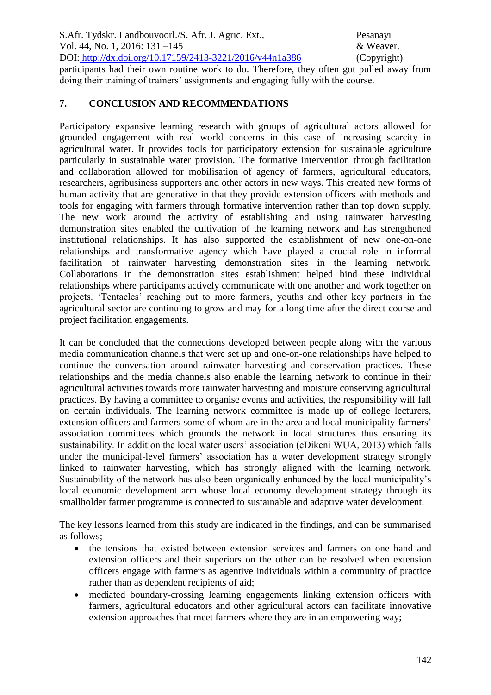## **7. CONCLUSION AND RECOMMENDATIONS**

Participatory expansive learning research with groups of agricultural actors allowed for grounded engagement with real world concerns in this case of increasing scarcity in agricultural water. It provides tools for participatory extension for sustainable agriculture particularly in sustainable water provision. The formative intervention through facilitation and collaboration allowed for mobilisation of agency of farmers, agricultural educators, researchers, agribusiness supporters and other actors in new ways. This created new forms of human activity that are generative in that they provide extension officers with methods and tools for engaging with farmers through formative intervention rather than top down supply. The new work around the activity of establishing and using rainwater harvesting demonstration sites enabled the cultivation of the learning network and has strengthened institutional relationships. It has also supported the establishment of new one-on-one relationships and transformative agency which have played a crucial role in informal facilitation of rainwater harvesting demonstration sites in the learning network. Collaborations in the demonstration sites establishment helped bind these individual relationships where participants actively communicate with one another and work together on projects. 'Tentacles' reaching out to more farmers, youths and other key partners in the agricultural sector are continuing to grow and may for a long time after the direct course and project facilitation engagements.

It can be concluded that the connections developed between people along with the various media communication channels that were set up and one-on-one relationships have helped to continue the conversation around rainwater harvesting and conservation practices. These relationships and the media channels also enable the learning network to continue in their agricultural activities towards more rainwater harvesting and moisture conserving agricultural practices. By having a committee to organise events and activities, the responsibility will fall on certain individuals. The learning network committee is made up of college lecturers, extension officers and farmers some of whom are in the area and local municipality farmers' association committees which grounds the network in local structures thus ensuring its sustainability. In addition the local water users' association (eDikeni WUA, 2013) which falls under the municipal-level farmers' association has a water development strategy strongly linked to rainwater harvesting, which has strongly aligned with the learning network. Sustainability of the network has also been organically enhanced by the local municipality's local economic development arm whose local economy development strategy through its smallholder farmer programme is connected to sustainable and adaptive water development.

The key lessons learned from this study are indicated in the findings, and can be summarised as follows;

- the tensions that existed between extension services and farmers on one hand and extension officers and their superiors on the other can be resolved when extension officers engage with farmers as agentive individuals within a community of practice rather than as dependent recipients of aid;
- mediated boundary-crossing learning engagements linking extension officers with farmers, agricultural educators and other agricultural actors can facilitate innovative extension approaches that meet farmers where they are in an empowering way;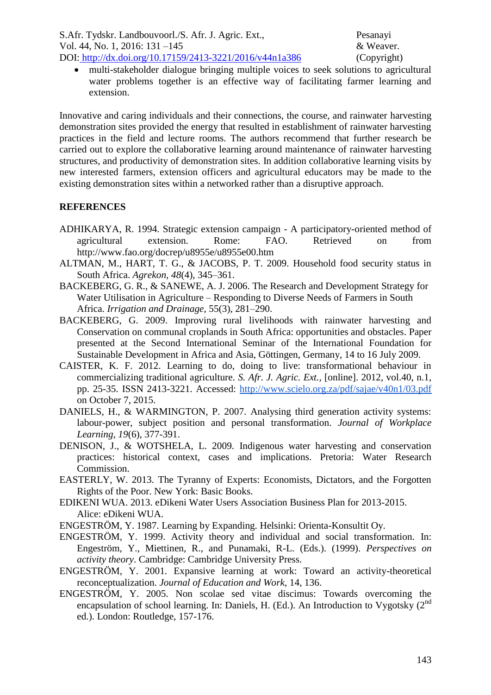multi-stakeholder dialogue bringing multiple voices to seek solutions to agricultural water problems together is an effective way of facilitating farmer learning and extension.

Innovative and caring individuals and their connections, the course, and rainwater harvesting demonstration sites provided the energy that resulted in establishment of rainwater harvesting practices in the field and lecture rooms. The authors recommend that further research be carried out to explore the collaborative learning around maintenance of rainwater harvesting structures, and productivity of demonstration sites. In addition collaborative learning visits by new interested farmers, extension officers and agricultural educators may be made to the existing demonstration sites within a networked rather than a disruptive approach.

## **REFERENCES**

- ADHIKARYA, R. 1994. Strategic extension campaign A participatory-oriented method of agricultural extension. Rome: FAO. Retrieved on from http://www.fao.org/docrep/u8955e/u8955e00.htm
- ALTMAN, M., HART, T. G., & JACOBS, P. T. 2009. Household food security status in South Africa. *Agrekon, 48*(4), 345–361.
- BACKEBERG, G. R., & SANEWE, A. J. 2006. The Research and Development Strategy for Water Utilisation in Agriculture – Responding to Diverse Needs of Farmers in South Africa. *Irrigation and Drainage*, 55(3), 281–290.
- BACKEBERG, G. 2009. Improving rural livelihoods with rainwater harvesting and Conservation on communal croplands in South Africa: opportunities and obstacles. Paper presented at the Second International Seminar of the International Foundation for Sustainable Development in Africa and Asia, Göttingen, Germany, 14 to 16 July 2009.
- CAISTER, K. F. 2012. Learning to do, doing to live: transformational behaviour in commercializing traditional agriculture. *S. Afr. J. Agric. Ext.,* [online]. 2012, vol.40, n.1, pp. 25-35. ISSN 2413-3221. Accessed: http://www.scielo.org.za/pdf/sajae/v40n1/03.pdf on October 7, 2015.
- DANIELS, H., & WARMINGTON, P. 2007. Analysing third generation activity systems: labour-power, subject position and personal transformation. *Journal of Workplace Learning, 19*(6), 377-391.
- DENISON, J., & WOTSHELA, L. 2009. Indigenous water harvesting and conservation practices: historical context, cases and implications. Pretoria: Water Research Commission.
- EASTERLY, W. 2013. The Tyranny of Experts: Economists, Dictators, and the Forgotten Rights of the Poor. New York: Basic Books.
- EDIKENI WUA. 2013. eDikeni Water Users Association Business Plan for 2013-2015. Alice: eDikeni WUA.
- ENGESTRÖM, Y. 1987. Learning by Expanding. Helsinki: Orienta-Konsultit Oy.
- ENGESTRÖM, Y. 1999. Activity theory and individual and social transformation*.* In: Engeström, Y., Miettinen, R., and Punamaki, R-L. (Eds.). (1999). *Perspectives on activity theory*. Cambridge: Cambridge University Press.
- ENGESTRÖM, Y. 2001. Expansive learning at work: Toward an activity-theoretical reconceptualization. *Journal of Education and Work*, 14, 136.
- ENGESTRÖM, Y. 2005. Non scolae sed vitae discimus: Towards overcoming the encapsulation of school learning. In: Daniels, H. (Ed.). An Introduction to Vygotsky (2<sup>nd</sup> ed.). London: Routledge, 157-176.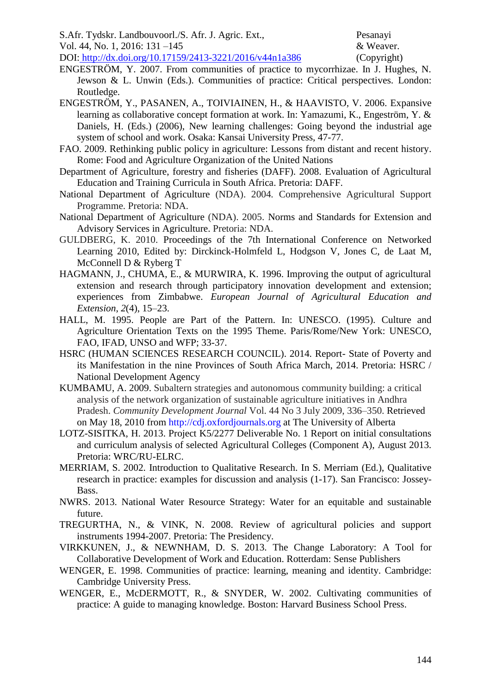- S.Afr. Tydskr. Landbouvoorl./S. Afr. J. Agric. Ext., Pesanayi
- Vol. 44, No. 1, 2016: 131 –145 & Weaver.

DOI: http://dx.doi.org/10.17159/2413-3221/2016/v44n1a386 (Copyright)

- ENGESTRÖM, Y. 2007. From communities of practice to mycorrhizae. In J. Hughes, N. Jewson & L. Unwin (Eds.). Communities of practice: Critical perspectives. London: Routledge.
- ENGESTRÖM, Y., PASANEN, A., TOIVIAINEN, H., & HAAVISTO, V. 2006. Expansive learning as collaborative concept formation at work. In: Yamazumi, K., Engeström, Y. & Daniels, H. (Eds.) (2006), New learning challenges: Going beyond the industrial age system of school and work. Osaka: Kansai University Press, 47-77.
- FAO. 2009. Rethinking public policy in agriculture: Lessons from distant and recent history. Rome: Food and Agriculture Organization of the United Nations
- Department of Agriculture, forestry and fisheries (DAFF). 2008. Evaluation of Agricultural Education and Training Curricula in South Africa. Pretoria: DAFF.
- National Department of Agriculture (NDA). 2004*.* Comprehensive Agricultural Support Programme. Pretoria: NDA.
- National Department of Agriculture (NDA). 2005. Norms and Standards for Extension and Advisory Services in Agriculture. Pretoria: NDA.
- GULDBERG, K. 2010. Proceedings of the 7th International Conference on Networked Learning 2010, Edited by: Dirckinck-Holmfeld L, Hodgson V, Jones C, de Laat M, McConnell D & Ryberg T
- HAGMANN, J., CHUMA, E., & MURWIRA, K. 1996. Improving the output of agricultural extension and research through participatory innovation development and extension; experiences from Zimbabwe. *European Journal of Agricultural Education and Extension*, *2*(4), 15–23.
- HALL, M. 1995. People are Part of the Pattern. In: UNESCO. (1995). Culture and Agriculture Orientation Texts on the 1995 Theme. Paris/Rome/New York: UNESCO, FAO, IFAD, UNSO and WFP; 33-37.
- HSRC (HUMAN SCIENCES RESEARCH COUNCIL). 2014. Report- State of Poverty and its Manifestation in the nine Provinces of South Africa March, 2014. Pretoria: HSRC / National Development Agency
- KUMBAMU, A. 2009. Subaltern strategies and autonomous community building: a critical analysis of the network organization of sustainable agriculture initiatives in Andhra Pradesh. *Community Development Journal* Vol. 44 No 3 July 2009, 336–350. Retrieved on May 18, 2010 from http://cdj.oxfordjournals.org at The University of Alberta
- LOTZ-SISITKA, H. 2013. Project K5/2277 Deliverable No. 1 Report on initial consultations and curriculum analysis of selected Agricultural Colleges (Component A), August 2013. Pretoria: WRC/RU-ELRC.
- MERRIAM, S. 2002. Introduction to Qualitative Research. In S. Merriam (Ed.), Qualitative research in practice: examples for discussion and analysis (1-17). San Francisco: Jossey-Bass.
- NWRS. 2013. National Water Resource Strategy: Water for an equitable and sustainable future.
- TREGURTHA, N., & VINK, N. 2008. Review of agricultural policies and support instruments 1994-2007. Pretoria: The Presidency.
- VIRKKUNEN, J., & NEWNHAM, D. S. 2013. The Change Laboratory: A Tool for Collaborative Development of Work and Education. Rotterdam: Sense Publishers
- WENGER, E. 1998. Communities of practice: learning, meaning and identity. Cambridge: Cambridge University Press.
- WENGER, E., McDERMOTT, R., & SNYDER, W. 2002. Cultivating communities of practice: A guide to managing knowledge. Boston: Harvard Business School Press.